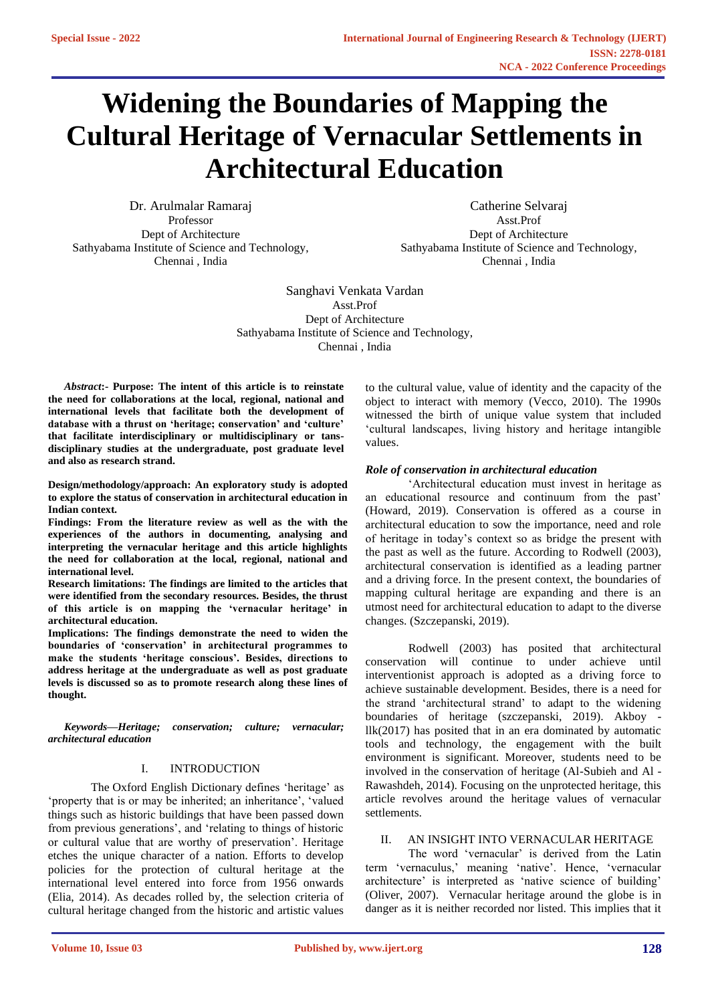# **Widening the Boundaries of Mapping the Cultural Heritage of Vernacular Settlements in Architectural Education**

Dr. Arulmalar Ramaraj Professor Dept of Architecture Sathyabama Institute of Science and Technology, Chennai , India

Catherine Selvaraj Asst.Prof Dept of Architecture Sathyabama Institute of Science and Technology, Chennai , India

Sanghavi Venkata Vardan Asst.Prof Dept of Architecture Sathyabama Institute of Science and Technology, Chennai , India

*Abstract***:- Purpose: The intent of this article is to reinstate the need for collaborations at the local, regional, national and international levels that facilitate both the development of database with a thrust on 'heritage; conservation' and 'culture' that facilitate interdisciplinary or multidisciplinary or tansdisciplinary studies at the undergraduate, post graduate level and also as research strand.** 

**Design/methodology/approach: An exploratory study is adopted to explore the status of conservation in architectural education in Indian context.** 

**Findings: From the literature review as well as the with the experiences of the authors in documenting, analysing and interpreting the vernacular heritage and this article highlights the need for collaboration at the local, regional, national and international level.** 

**Research limitations: The findings are limited to the articles that were identified from the secondary resources. Besides, the thrust of this article is on mapping the 'vernacular heritage' in architectural education.** 

**Implications: The findings demonstrate the need to widen the boundaries of 'conservation' in architectural programmes to make the students 'heritage conscious'. Besides, directions to address heritage at the undergraduate as well as post graduate levels is discussed so as to promote research along these lines of thought.** 

*Keywords—Heritage; conservation; culture; vernacular; architectural education*

#### I. INTRODUCTION

The Oxford English Dictionary defines 'heritage' as 'property that is or may be inherited; an inheritance', 'valued things such as historic buildings that have been passed down from previous generations', and 'relating to things of historic or cultural value that are worthy of preservation'. Heritage etches the unique character of a nation. Efforts to develop policies for the protection of cultural heritage at the international level entered into force from 1956 onwards (Elia, 2014). As decades rolled by, the selection criteria of cultural heritage changed from the historic and artistic values

to the cultural value, value of identity and the capacity of the object to interact with memory (Vecco, 2010). The 1990s witnessed the birth of unique value system that included 'cultural landscapes, living history and heritage intangible values.

## *Role of conservation in architectural education*

'Architectural education must invest in heritage as an educational resource and continuum from the past' (Howard, 2019). Conservation is offered as a course in architectural education to sow the importance, need and role of heritage in today's context so as bridge the present with the past as well as the future. According to Rodwell (2003), architectural conservation is identified as a leading partner and a driving force. In the present context, the boundaries of mapping cultural heritage are expanding and there is an utmost need for architectural education to adapt to the diverse changes. (Szczepanski, 2019).

Rodwell (2003) has posited that architectural conservation will continue to under achieve until interventionist approach is adopted as a driving force to achieve sustainable development. Besides, there is a need for the strand 'architectural strand' to adapt to the widening boundaries of heritage (szczepanski, 2019). Akboy llk(2017) has posited that in an era dominated by automatic tools and technology, the engagement with the built environment is significant. Moreover, students need to be involved in the conservation of heritage (Al-Subieh and Al - Rawashdeh, 2014). Focusing on the unprotected heritage, this article revolves around the heritage values of vernacular settlements.

# II. AN INSIGHT INTO VERNACULAR HERITAGE

The word 'vernacular' is derived from the Latin term 'vernaculus,' meaning 'native'. Hence, 'vernacular architecture' is interpreted as 'native science of building' (Oliver, 2007). Vernacular heritage around the globe is in danger as it is neither recorded nor listed. This implies that it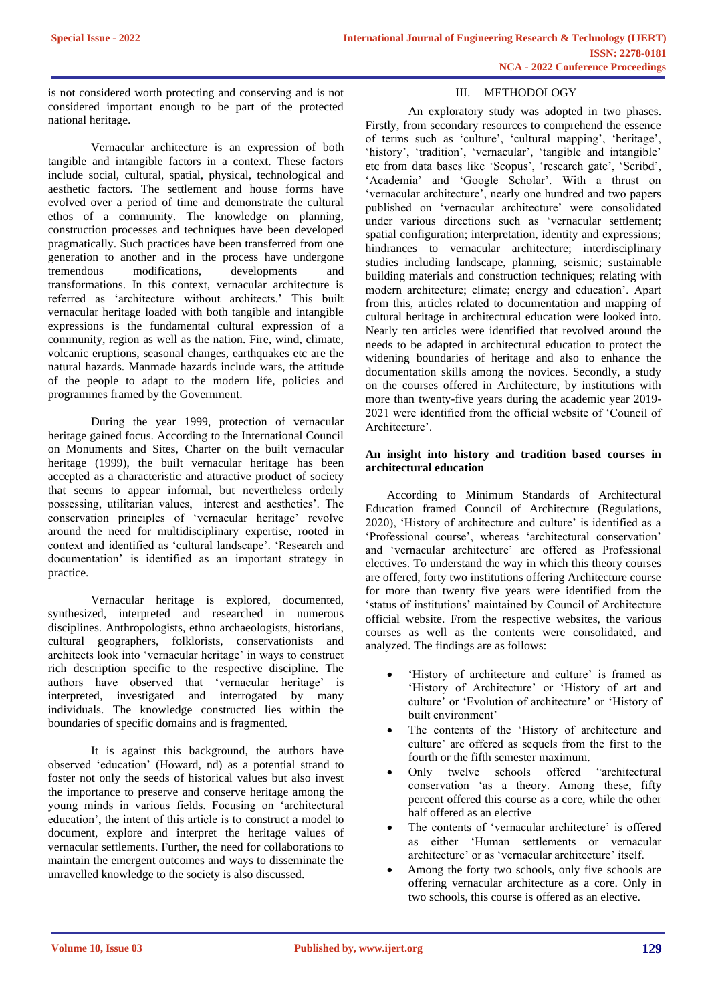is not considered worth protecting and conserving and is not considered important enough to be part of the protected national heritage.

Vernacular architecture is an expression of both tangible and intangible factors in a context. These factors include social, cultural, spatial, physical, technological and aesthetic factors. The settlement and house forms have evolved over a period of time and demonstrate the cultural ethos of a community. The knowledge on planning, construction processes and techniques have been developed pragmatically. Such practices have been transferred from one generation to another and in the process have undergone tremendous modifications, developments and transformations. In this context, vernacular architecture is referred as 'architecture without architects.' This built vernacular heritage loaded with both tangible and intangible expressions is the fundamental cultural expression of a community, region as well as the nation. Fire, wind, climate, volcanic eruptions, seasonal changes, earthquakes etc are the natural hazards. Manmade hazards include wars, the attitude of the people to adapt to the modern life, policies and programmes framed by the Government.

During the year 1999, protection of vernacular heritage gained focus. According to the International Council on Monuments and Sites, Charter on the built vernacular heritage (1999), the built vernacular heritage has been accepted as a characteristic and attractive product of society that seems to appear informal, but nevertheless orderly possessing, utilitarian values, interest and aesthetics'. The conservation principles of 'vernacular heritage' revolve around the need for multidisciplinary expertise, rooted in context and identified as 'cultural landscape'. 'Research and documentation' is identified as an important strategy in practice.

Vernacular heritage is explored, documented, synthesized, interpreted and researched in numerous disciplines. Anthropologists, ethno archaeologists, historians, cultural geographers, folklorists, conservationists and architects look into 'vernacular heritage' in ways to construct rich description specific to the respective discipline. The authors have observed that 'vernacular heritage' is interpreted, investigated and interrogated by many individuals. The knowledge constructed lies within the boundaries of specific domains and is fragmented.

It is against this background, the authors have observed 'education' (Howard, nd) as a potential strand to foster not only the seeds of historical values but also invest the importance to preserve and conserve heritage among the young minds in various fields. Focusing on 'architectural education', the intent of this article is to construct a model to document, explore and interpret the heritage values of vernacular settlements. Further, the need for collaborations to maintain the emergent outcomes and ways to disseminate the unravelled knowledge to the society is also discussed.

# III. METHODOLOGY

An exploratory study was adopted in two phases. Firstly, from secondary resources to comprehend the essence of terms such as 'culture', 'cultural mapping', 'heritage', 'history', 'tradition', 'vernacular', 'tangible and intangible' etc from data bases like 'Scopus', 'research gate', 'Scribd', 'Academia' and 'Google Scholar'. With a thrust on 'vernacular architecture', nearly one hundred and two papers published on 'vernacular architecture' were consolidated under various directions such as 'vernacular settlement; spatial configuration; interpretation, identity and expressions; hindrances to vernacular architecture; interdisciplinary studies including landscape, planning, seismic; sustainable building materials and construction techniques; relating with modern architecture; climate; energy and education'. Apart from this, articles related to documentation and mapping of cultural heritage in architectural education were looked into. Nearly ten articles were identified that revolved around the needs to be adapted in architectural education to protect the widening boundaries of heritage and also to enhance the documentation skills among the novices. Secondly, a study on the courses offered in Architecture, by institutions with more than twenty-five years during the academic year 2019- 2021 were identified from the official website of 'Council of Architecture'.

## **An insight into history and tradition based courses in architectural education**

According to Minimum Standards of Architectural Education framed Council of Architecture (Regulations, 2020), 'History of architecture and culture' is identified as a 'Professional course', whereas 'architectural conservation' and 'vernacular architecture' are offered as Professional electives. To understand the way in which this theory courses are offered, forty two institutions offering Architecture course for more than twenty five years were identified from the 'status of institutions' maintained by Council of Architecture official website. From the respective websites, the various courses as well as the contents were consolidated, and analyzed. The findings are as follows:

- 'History of architecture and culture' is framed as 'History of Architecture' or 'History of art and culture' or 'Evolution of architecture' or 'History of built environment'
- The contents of the 'History of architecture and culture' are offered as sequels from the first to the fourth or the fifth semester maximum.
- Only twelve schools offered "architectural" conservation 'as a theory. Among these, fifty percent offered this course as a core, while the other half offered as an elective
- The contents of 'vernacular architecture' is offered as either 'Human settlements or vernacular architecture' or as 'vernacular architecture' itself.
- Among the forty two schools, only five schools are offering vernacular architecture as a core. Only in two schools, this course is offered as an elective.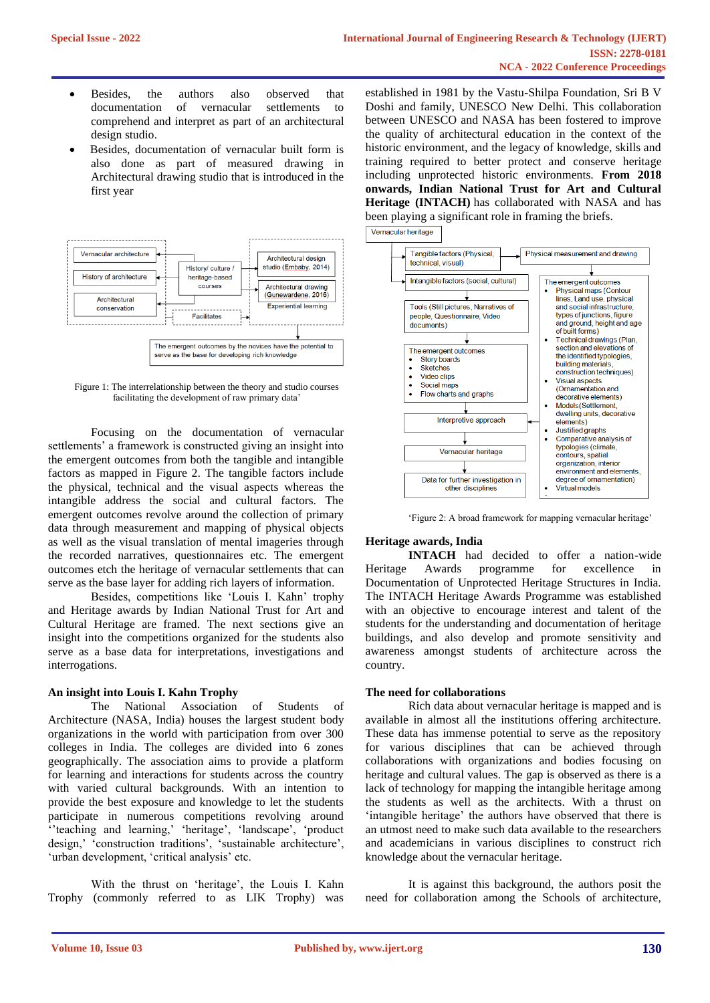- Besides, the authors also observed that documentation of vernacular settlements to comprehend and interpret as part of an architectural design studio.
- Besides, documentation of vernacular built form is also done as part of measured drawing in Architectural drawing studio that is introduced in the first year



Figure 1: The interrelationship between the theory and studio courses facilitating the development of raw primary data'

Focusing on the documentation of vernacular settlements' a framework is constructed giving an insight into the emergent outcomes from both the tangible and intangible factors as mapped in Figure 2. The tangible factors include the physical, technical and the visual aspects whereas the intangible address the social and cultural factors. The emergent outcomes revolve around the collection of primary data through measurement and mapping of physical objects as well as the visual translation of mental imageries through the recorded narratives, questionnaires etc. The emergent outcomes etch the heritage of vernacular settlements that can serve as the base layer for adding rich layers of information.

Besides, competitions like 'Louis I. Kahn' trophy and Heritage awards by Indian National Trust for Art and Cultural Heritage are framed. The next sections give an insight into the competitions organized for the students also serve as a base data for interpretations, investigations and interrogations.

# **An insight into Louis I. Kahn Trophy**

The National Association of Students of Architecture (NASA, India) houses the largest student body organizations in the world with participation from over 300 colleges in India. The colleges are divided into 6 zones geographically. The association aims to provide a platform for learning and interactions for students across the country with varied cultural backgrounds. With an intention to provide the best exposure and knowledge to let the students participate in numerous competitions revolving around ''teaching and learning,' 'heritage', 'landscape', 'product design,' 'construction traditions', 'sustainable architecture', 'urban development, 'critical analysis' etc.

With the thrust on 'heritage', the Louis I. Kahn Trophy (commonly referred to as LIK Trophy) was

established in 1981 by the Vastu-Shilpa Foundation, Sri B V Doshi and family, UNESCO New Delhi. This collaboration between UNESCO and NASA has been fostered to improve the quality of architectural education in the context of the historic environment, and the legacy of knowledge, skills and training required to better protect and conserve heritage including unprotected historic environments. **From 2018 onwards, Indian National Trust for Art and Cultural Heritage (INTACH)** has collaborated with NASA and has been playing a significant role in framing the briefs.



'Figure 2: A broad framework for mapping vernacular heritage'

## **Heritage awards, India**

**INTACH** had decided to offer a nation-wide Heritage Awards programme for excellence in Documentation of Unprotected Heritage Structures in India. The INTACH Heritage Awards Programme was established with an objective to encourage interest and talent of the students for the understanding and documentation of heritage buildings, and also develop and promote sensitivity and awareness amongst students of architecture across the country.

#### **The need for collaborations**

Rich data about vernacular heritage is mapped and is available in almost all the institutions offering architecture. These data has immense potential to serve as the repository for various disciplines that can be achieved through collaborations with organizations and bodies focusing on heritage and cultural values. The gap is observed as there is a lack of technology for mapping the intangible heritage among the students as well as the architects. With a thrust on 'intangible heritage' the authors have observed that there is an utmost need to make such data available to the researchers and academicians in various disciplines to construct rich knowledge about the vernacular heritage.

It is against this background, the authors posit the need for collaboration among the Schools of architecture,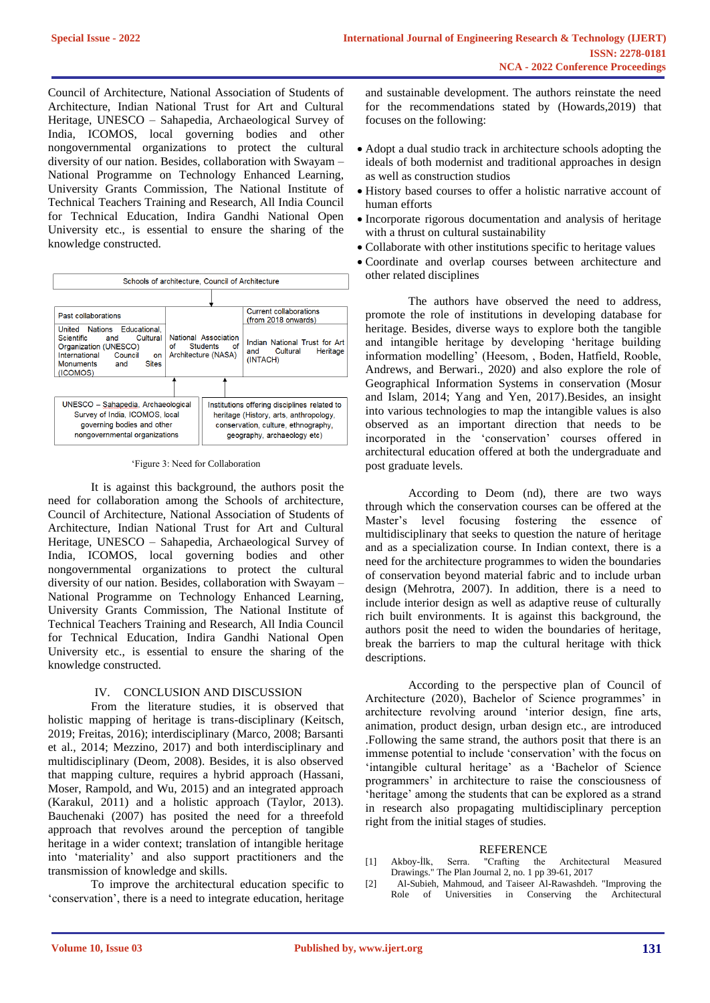Council of Architecture, National Association of Students of Architecture, Indian National Trust for Art and Cultural Heritage, UNESCO – Sahapedia, Archaeological Survey of India, ICOMOS, local governing bodies and other nongovernmental organizations to protect the cultural diversity of our nation. Besides, collaboration with Swayam – National Programme on Technology Enhanced Learning, University Grants Commission, The National Institute of Technical Teachers Training and Research, All India Council for Technical Education, Indira Gandhi National Open University etc., is essential to ensure the sharing of the knowledge constructed.



'Figure 3: Need for Collaboration

It is against this background, the authors posit the need for collaboration among the Schools of architecture, Council of Architecture, National Association of Students of Architecture, Indian National Trust for Art and Cultural Heritage, UNESCO – Sahapedia, Archaeological Survey of India, ICOMOS, local governing bodies and other nongovernmental organizations to protect the cultural diversity of our nation. Besides, collaboration with Swayam – National Programme on Technology Enhanced Learning, University Grants Commission, The National Institute of Technical Teachers Training and Research, All India Council for Technical Education, Indira Gandhi National Open University etc., is essential to ensure the sharing of the knowledge constructed.

#### IV. CONCLUSION AND DISCUSSION

From the literature studies, it is observed that holistic mapping of heritage is trans-disciplinary (Keitsch, 2019; Freitas, 2016); interdisciplinary (Marco, 2008; Barsanti et al., 2014; Mezzino, 2017) and both interdisciplinary and multidisciplinary (Deom, 2008). Besides, it is also observed that mapping culture, requires a hybrid approach (Hassani, Moser, Rampold, and Wu, 2015) and an integrated approach (Karakul, 2011) and a holistic approach (Taylor, 2013). Bauchenaki (2007) has posited the need for a threefold approach that revolves around the perception of tangible heritage in a wider context; translation of intangible heritage into 'materiality' and also support practitioners and the transmission of knowledge and skills.

To improve the architectural education specific to 'conservation', there is a need to integrate education, heritage

and sustainable development. The authors reinstate the need for the recommendations stated by (Howards,2019) that focuses on the following:

- Adopt a dual studio track in architecture schools adopting the ideals of both modernist and traditional approaches in design as well as construction studios
- History based courses to offer a holistic narrative account of human efforts
- Incorporate rigorous documentation and analysis of heritage with a thrust on cultural sustainability
- Collaborate with other institutions specific to heritage values
- Coordinate and overlap courses between architecture and other related disciplines

The authors have observed the need to address, promote the role of institutions in developing database for heritage. Besides, diverse ways to explore both the tangible and intangible heritage by developing 'heritage building information modelling' (Heesom, , Boden, Hatfield, Rooble, Andrews, and Berwari., 2020) and also explore the role of Geographical Information Systems in conservation (Mosur and Islam, 2014; Yang and Yen, 2017).Besides, an insight into various technologies to map the intangible values is also observed as an important direction that needs to be incorporated in the 'conservation' courses offered in architectural education offered at both the undergraduate and post graduate levels.

According to Deom (nd), there are two ways through which the conservation courses can be offered at the Master's level focusing fostering the essence of multidisciplinary that seeks to question the nature of heritage and as a specialization course. In Indian context, there is a need for the architecture programmes to widen the boundaries of conservation beyond material fabric and to include urban design (Mehrotra, 2007). In addition, there is a need to include interior design as well as adaptive reuse of culturally rich built environments. It is against this background, the authors posit the need to widen the boundaries of heritage, break the barriers to map the cultural heritage with thick descriptions.

According to the perspective plan of Council of Architecture (2020), Bachelor of Science programmes' in architecture revolving around 'interior design, fine arts, animation, product design, urban design etc., are introduced .Following the same strand, the authors posit that there is an immense potential to include 'conservation' with the focus on 'intangible cultural heritage' as a 'Bachelor of Science programmers' in architecture to raise the consciousness of 'heritage' among the students that can be explored as a strand in research also propagating multidisciplinary perception right from the initial stages of studies.

#### REFERENCE

- [1] Akboy-İlk, Serra. "Crafting the Architectural Measured Drawings." The Plan Journal 2, no. 1 pp 39-61, 2017
- [2] Al-Subieh, Mahmoud, and Taiseer Al-Rawashdeh. "Improving the Role of Universities in Conserving the Architectural